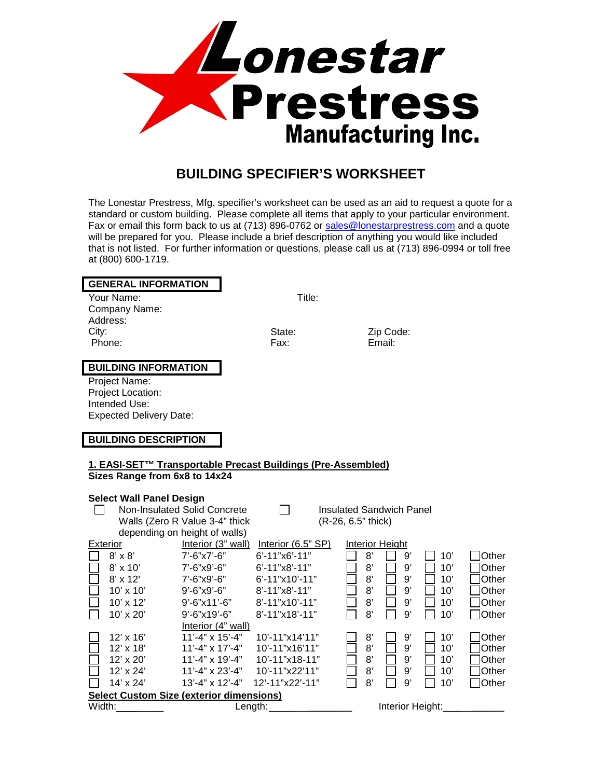

## **BUILDING SPECIFIER'S WORKSHEET**

The Lonestar Prestress, Mfg. specifier's worksheet can be used as an aid to request a quote for a standard or custom building. Please complete all items that apply to your particular environment. Fax or email this form back to us at (713) 896-0762 or [sales@lonestarprestress.com](mailto:sales@lonestarprestress.com) and a quote will be prepared for you. Please include a brief description of anything you would like included that is not listed. For further information or questions, please call us at (713) 896-0994 or toll free at (800) 600-1719.

| <b>GENERAL INFORMATION</b>                                   |                                |                           |                                 |     |       |
|--------------------------------------------------------------|--------------------------------|---------------------------|---------------------------------|-----|-------|
| Your Name:                                                   |                                | Title:                    |                                 |     |       |
| Company Name:                                                |                                |                           |                                 |     |       |
| Address:                                                     |                                |                           |                                 |     |       |
| City:                                                        |                                | State:                    | Zip Code:                       |     |       |
| Phone:                                                       |                                | Fax:                      | Email:                          |     |       |
|                                                              |                                |                           |                                 |     |       |
| <b>BUILDING INFORMATION</b>                                  |                                |                           |                                 |     |       |
| Project Name:                                                |                                |                           |                                 |     |       |
| Project Location:                                            |                                |                           |                                 |     |       |
| Intended Use:                                                |                                |                           |                                 |     |       |
| <b>Expected Delivery Date:</b>                               |                                |                           |                                 |     |       |
|                                                              |                                |                           |                                 |     |       |
| <b>BUILDING DESCRIPTION</b>                                  |                                |                           |                                 |     |       |
|                                                              |                                |                           |                                 |     |       |
| 1. EASI-SET™ Transportable Precast Buildings (Pre-Assembled) |                                |                           |                                 |     |       |
| Sizes Range from 6x8 to 14x24                                |                                |                           |                                 |     |       |
|                                                              |                                |                           |                                 |     |       |
| <b>Select Wall Panel Design</b>                              |                                |                           |                                 |     |       |
|                                                              | Non-Insulated Solid Concrete   |                           | <b>Insulated Sandwich Panel</b> |     |       |
|                                                              | Walls (Zero R Value 3-4" thick |                           | (R-26, 6.5" thick)              |     |       |
|                                                              | depending on height of walls)  |                           |                                 |     |       |
| <b>Exterior</b>                                              | Interior (3" wall)             | Interior (6.5" SP)        | <b>Interior Height</b>          |     |       |
| $8' \times 8'$                                               | 7'-6"x7'-6"                    | 6'-11"x6'-11"             | 8'<br>9'                        | 10' | Other |
| $8' \times 10'$                                              | 7'-6"x9'-6"                    | 6'-11"x8'-11"             | 8'<br>9'                        | 10' | Other |
| $8'$ x 12'                                                   | $7'-6''$ x9'-6"                | 6'-11"x10'-11"            | $8^\circ$<br>9'                 | 10' | Other |
| $10' \times 10'$                                             | $9'$ -6"x9'-6"                 | $8' - 11''$ x $8' - 11''$ | 8'<br>9'                        | 10' | Other |
| $10'$ x $12'$                                                | 9'-6"x11'-6"                   | 8'-11"x10'-11"            | 8'<br>9'                        | 10' | Other |
| 10' x 20'                                                    | 9'-6"x19'-6"                   | $8' - 11''$ x18'-11"      | 8'<br>9'                        | 10' | Other |
|                                                              | Interior (4" wall)             |                           |                                 |     |       |
| $12' \times 16'$                                             | $11' - 4" \times 15' - 4"$     | 10'-11"x14'11"            | 8<br>9'                         | 10' | Other |
| 12' x 18'                                                    | $11' - 4" \times 17' - 4"$     | 10'-11"x16'11"            | 8'<br>$9^{\circ}$               | 10' | Other |
| 12' x 20'                                                    | 11'-4" x 19'-4"                | 10'-11"x18-11"            | 8'<br>9'                        | 10' | Other |
| 12' x 24'                                                    | 11'-4" x 23'-4"                | 10'-11"x22'11"            | 8'<br>9'                        | 10' | Other |
| 14' x 24'                                                    | 13'-4" x 12'-4"                | 12'-11"x22'-11"           | 8'<br>9'                        | 10' | Other |
| <b>Select Custom Size (exterior dimensions)</b>              |                                |                           |                                 |     |       |
| Width:                                                       | Length:                        |                           | Interior Height:                |     |       |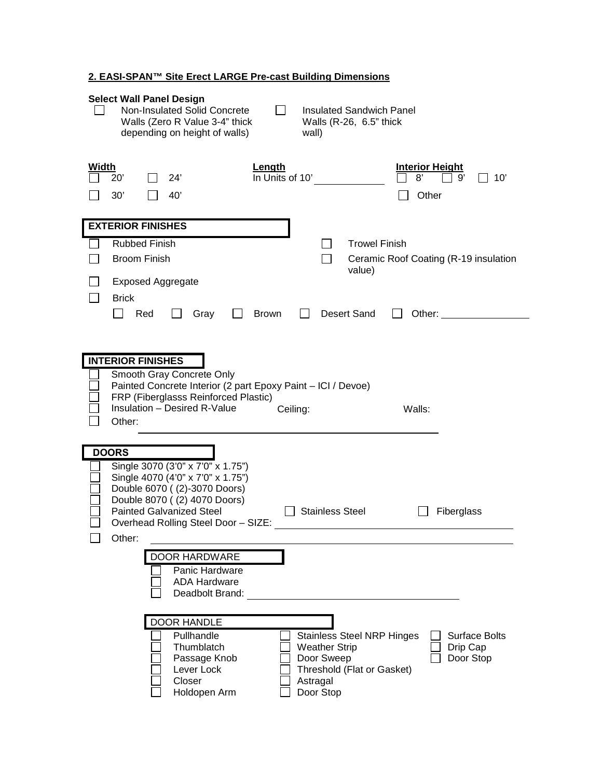## **2. EASI-SPAN™ Site Erect LARGE Pre-cast Building Dimensions**

| <b>Select Wall Panel Design</b><br>Non-Insulated Solid Concrete<br>Insulated Sandwich Panel<br>Walls (Zero R Value 3-4" thick<br>Walls (R-26, 6.5" thick<br>depending on height of walls)<br>wall)                                                                                                                                                                     |  |  |  |  |  |
|------------------------------------------------------------------------------------------------------------------------------------------------------------------------------------------------------------------------------------------------------------------------------------------------------------------------------------------------------------------------|--|--|--|--|--|
| Width<br>Length<br><b>Interior Height</b><br>In Units of 10'<br>24'<br>8'<br>10'<br>$20^{\circ}$<br>g,<br>40'<br>Other<br>30'                                                                                                                                                                                                                                          |  |  |  |  |  |
| <b>EXTERIOR FINISHES</b><br><b>Rubbed Finish</b><br><b>Trowel Finish</b><br><b>Broom Finish</b><br>Ceramic Roof Coating (R-19 insulation<br>value)<br><b>Exposed Aggregate</b><br><b>Brick</b><br><b>Desert Sand</b><br>Red<br>Gray<br><b>Brown</b><br>Other:                                                                                                          |  |  |  |  |  |
| <b>INTERIOR FINISHES</b><br>Smooth Gray Concrete Only<br>Painted Concrete Interior (2 part Epoxy Paint - ICI / Devoe)<br>FRP (Fiberglasss Reinforced Plastic)<br>Insulation - Desired R-Value<br>Walls:<br>Ceiling:<br>Other:                                                                                                                                          |  |  |  |  |  |
| <b>DOORS</b><br>Single 3070 (3'0" x 7'0" x 1.75")<br>Single 4070 (4'0" x 7'0" x 1.75")<br>Double 6070 ((2)-3070 Doors)<br>Double 8070 ((2) 4070 Doors)<br><b>Painted Galvanized Steel</b><br><b>Stainless Steel</b><br>Fiberglass<br>Overhead Rolling Steel Door - SIZE:<br>Other:<br><b>DOOR HARDWARE</b><br>Panic Hardware<br><b>ADA Hardware</b><br>Deadbolt Brand: |  |  |  |  |  |
| <b>DOOR HANDLE</b><br>Pullhandle<br><b>Stainless Steel NRP Hinges</b><br><b>Surface Bolts</b><br>Thumblatch<br><b>Weather Strip</b><br>Drip Cap<br>Door Sweep<br>Passage Knob<br>Door Stop<br>Lever Lock<br>Threshold (Flat or Gasket)<br>Closer<br>Astragal<br>Holdopen Arm<br>Door Stop                                                                              |  |  |  |  |  |